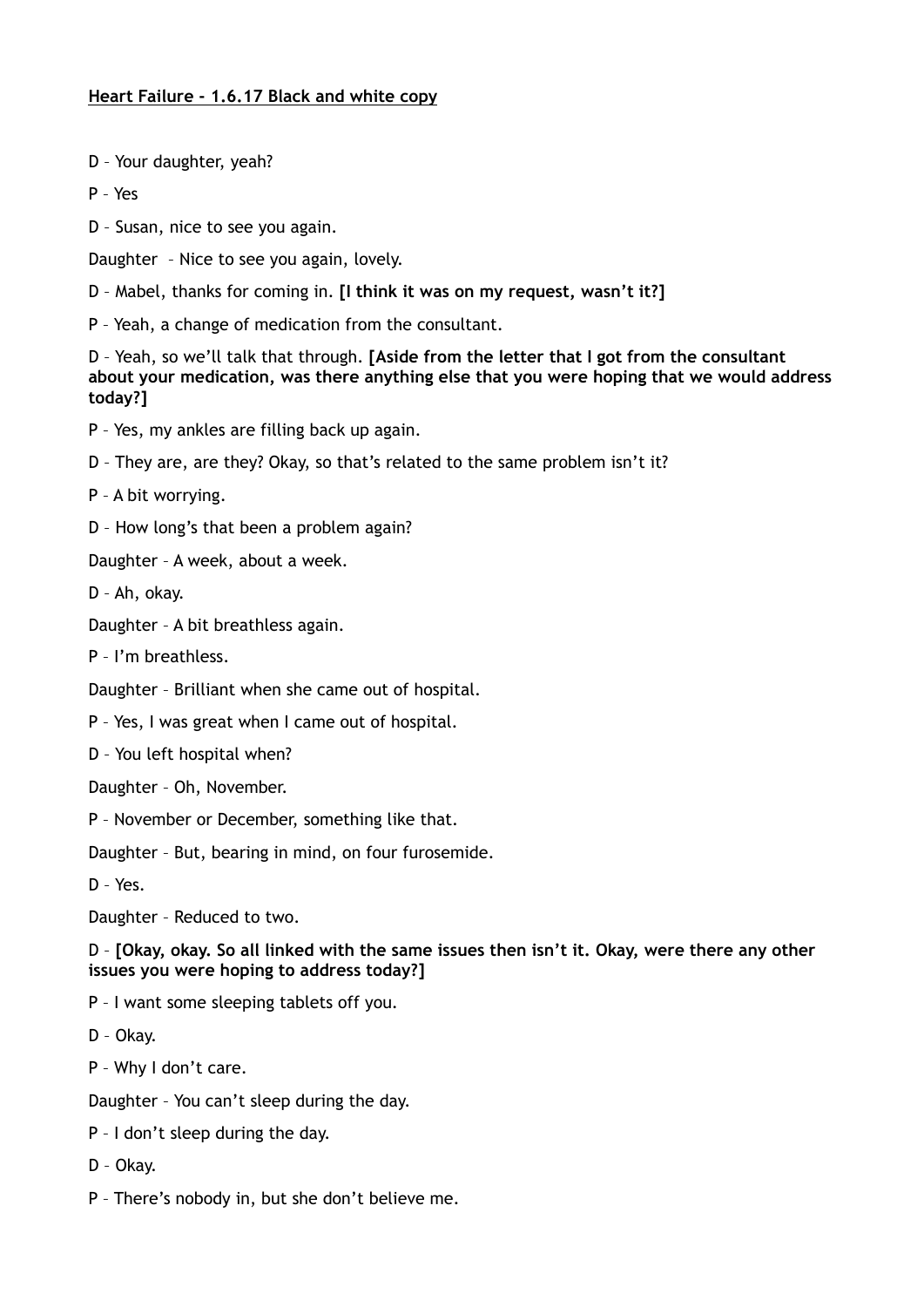## **Heart Failure - 1.6.17 Black and white copy**

- D Your daughter, yeah?
- P Yes
- D Susan, nice to see you again.
- Daughter Nice to see you again, lovely.
- D Mabel, thanks for coming in. **[I think it was on my request, wasn't it?]**
- P Yeah, a change of medication from the consultant.

D – Yeah, so we'll talk that through. **[Aside from the letter that I got from the consultant about your medication, was there anything else that you were hoping that we would address today?]** 

- P Yes, my ankles are filling back up again.
- D They are, are they? Okay, so that's related to the same problem isn't it?
- P A bit worrying.
- D How long's that been a problem again?
- Daughter A week, about a week.
- D Ah, okay.
- Daughter A bit breathless again.
- P I'm breathless.
- Daughter Brilliant when she came out of hospital.
- P Yes, I was great when I came out of hospital.
- D You left hospital when?
- Daughter Oh, November.
- P November or December, something like that.
- Daughter But, bearing in mind, on four furosemide.
- D Yes.
- Daughter Reduced to two.

D – **[Okay, okay. So all linked with the same issues then isn't it. Okay, were there any other issues you were hoping to address today?]** 

- P I want some sleeping tablets off you.
- D Okay.
- P Why I don't care.
- Daughter You can't sleep during the day.
- P I don't sleep during the day.
- D Okay.
- P There's nobody in, but she don't believe me.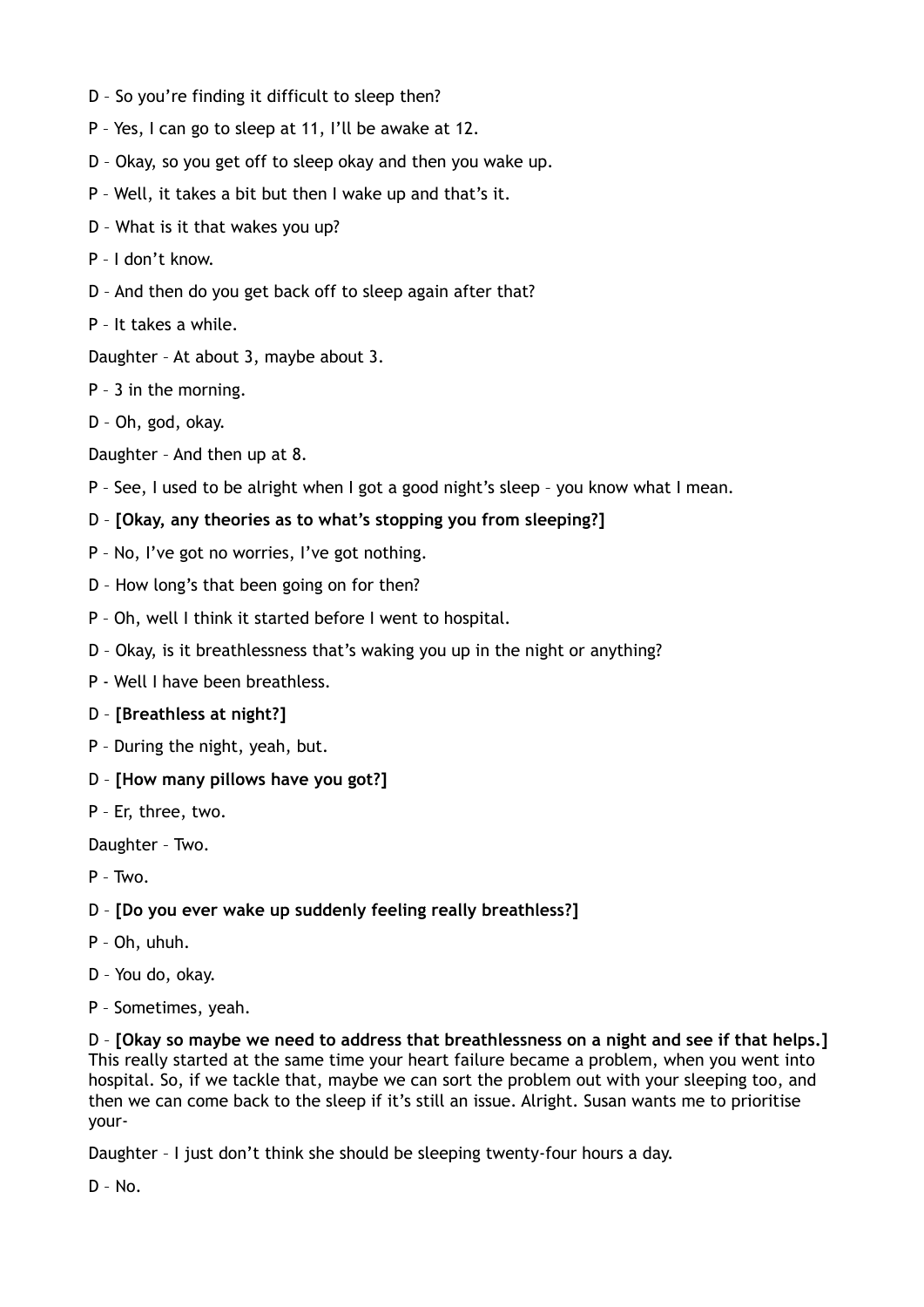- D So you're finding it difficult to sleep then?
- P Yes, I can go to sleep at 11, I'll be awake at 12.
- D Okay, so you get off to sleep okay and then you wake up.
- P Well, it takes a bit but then I wake up and that's it.
- D What is it that wakes you up?
- P I don't know.
- D And then do you get back off to sleep again after that?
- P It takes a while.

Daughter – At about 3, maybe about 3.

- P 3 in the morning.
- D Oh, god, okay.
- Daughter And then up at 8.
- P See, I used to be alright when I got a good night's sleep you know what I mean.
- D **[Okay, any theories as to what's stopping you from sleeping?]**
- P No, I've got no worries, I've got nothing.
- D How long's that been going on for then?
- P Oh, well I think it started before I went to hospital.
- D Okay, is it breathlessness that's waking you up in the night or anything?
- P Well I have been breathless.
- D **[Breathless at night?]**
- P During the night, yeah, but.
- D **[How many pillows have you got?]**
- P Er, three, two.

Daughter – Two.

- $P Two.$
- D **[Do you ever wake up suddenly feeling really breathless?]**
- P Oh, uhuh.
- D You do, okay.
- P Sometimes, yeah.

D – **[Okay so maybe we need to address that breathlessness on a night and see if that helps.]** This really started at the same time your heart failure became a problem, when you went into hospital. So, if we tackle that, maybe we can sort the problem out with your sleeping too, and then we can come back to the sleep if it's still an issue. Alright. Susan wants me to prioritise your-

Daughter – I just don't think she should be sleeping twenty-four hours a day.

D – No.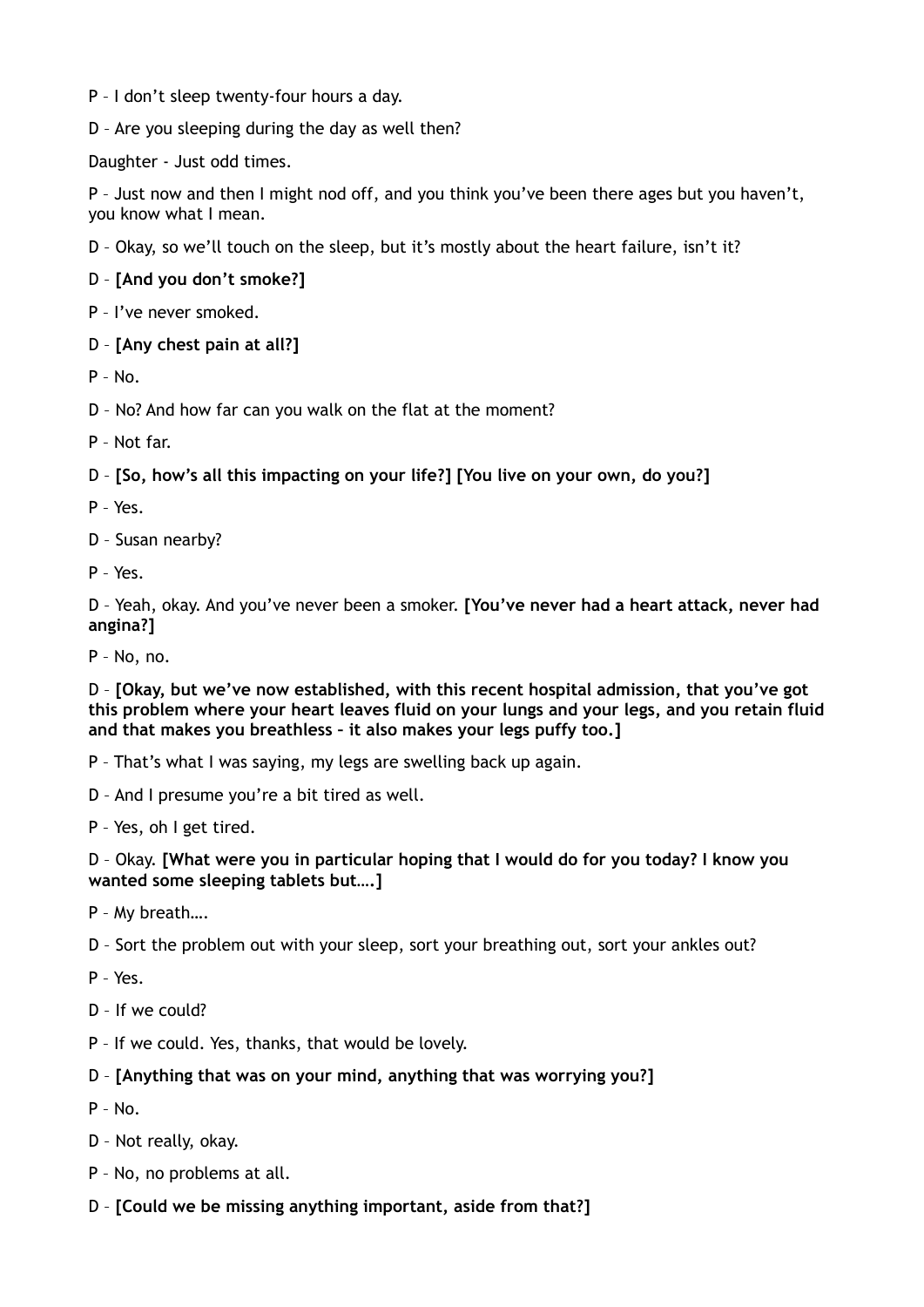- P I don't sleep twenty-four hours a day.
- D Are you sleeping during the day as well then?

Daughter - Just odd times.

P - Just now and then I might nod off, and you think you've been there ages but you haven't, you know what I mean.

- D Okay, so we'll touch on the sleep, but it's mostly about the heart failure, isn't it?
- D **[And you don't smoke?]**
- P I've never smoked.
- D **[Any chest pain at all?]**
- $P N_0$
- D No? And how far can you walk on the flat at the moment?
- P Not far.
- D **[So, how's all this impacting on your life?] [You live on your own, do you?]**
- P Yes.
- D Susan nearby?
- P Yes.

D – Yeah, okay. And you've never been a smoker. **[You've never had a heart attack, never had angina?]** 

P – No, no.

D – **[Okay, but we've now established, with this recent hospital admission, that you've got this problem where your heart leaves fluid on your lungs and your legs, and you retain fluid and that makes you breathless – it also makes your legs puffy too.]** 

- P That's what I was saying, my legs are swelling back up again.
- D And I presume you're a bit tired as well.
- P Yes, oh I get tired.

## D – Okay. **[What were you in particular hoping that I would do for you today? I know you wanted some sleeping tablets but….]**

- P My breath….
- D Sort the problem out with your sleep, sort your breathing out, sort your ankles out?
- P Yes.
- D If we could?
- P If we could. Yes, thanks, that would be lovely.

## D – **[Anything that was on your mind, anything that was worrying you?]**

- $P No.$
- D Not really, okay.
- P No, no problems at all.
- D **[Could we be missing anything important, aside from that?]**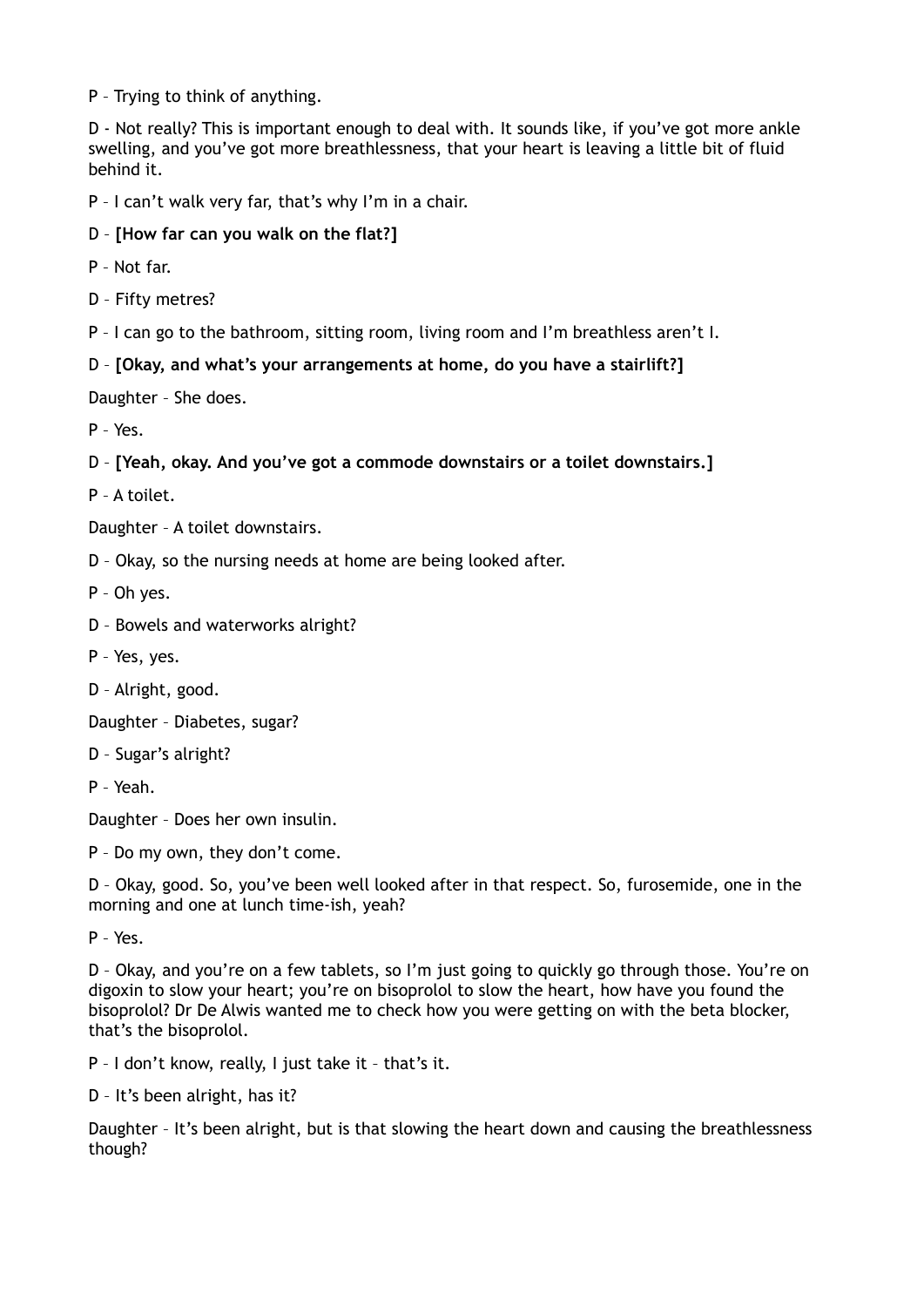P – Trying to think of anything.

D - Not really? This is important enough to deal with. It sounds like, if you've got more ankle swelling, and you've got more breathlessness, that your heart is leaving a little bit of fluid behind it.

P – I can't walk very far, that's why I'm in a chair.

- D **[How far can you walk on the flat?]**
- P Not far.
- D Fifty metres?
- P I can go to the bathroom, sitting room, living room and I'm breathless aren't I.
- D **[Okay, and what's your arrangements at home, do you have a stairlift?]**

Daughter – She does.

P – Yes.

D – **[Yeah, okay. And you've got a commode downstairs or a toilet downstairs.]** 

P – A toilet.

Daughter – A toilet downstairs.

- D Okay, so the nursing needs at home are being looked after.
- P Oh yes.
- D Bowels and waterworks alright?
- P Yes, yes.
- D Alright, good.

Daughter – Diabetes, sugar?

- D Sugar's alright?
- P Yeah.

Daughter – Does her own insulin.

P – Do my own, they don't come.

D – Okay, good. So, you've been well looked after in that respect. So, furosemide, one in the morning and one at lunch time-ish, yeah?

P – Yes.

D – Okay, and you're on a few tablets, so I'm just going to quickly go through those. You're on digoxin to slow your heart; you're on bisoprolol to slow the heart, how have you found the bisoprolol? Dr De Alwis wanted me to check how you were getting on with the beta blocker, that's the bisoprolol.

P – I don't know, really, I just take it – that's it.

D – It's been alright, has it?

Daughter – It's been alright, but is that slowing the heart down and causing the breathlessness though?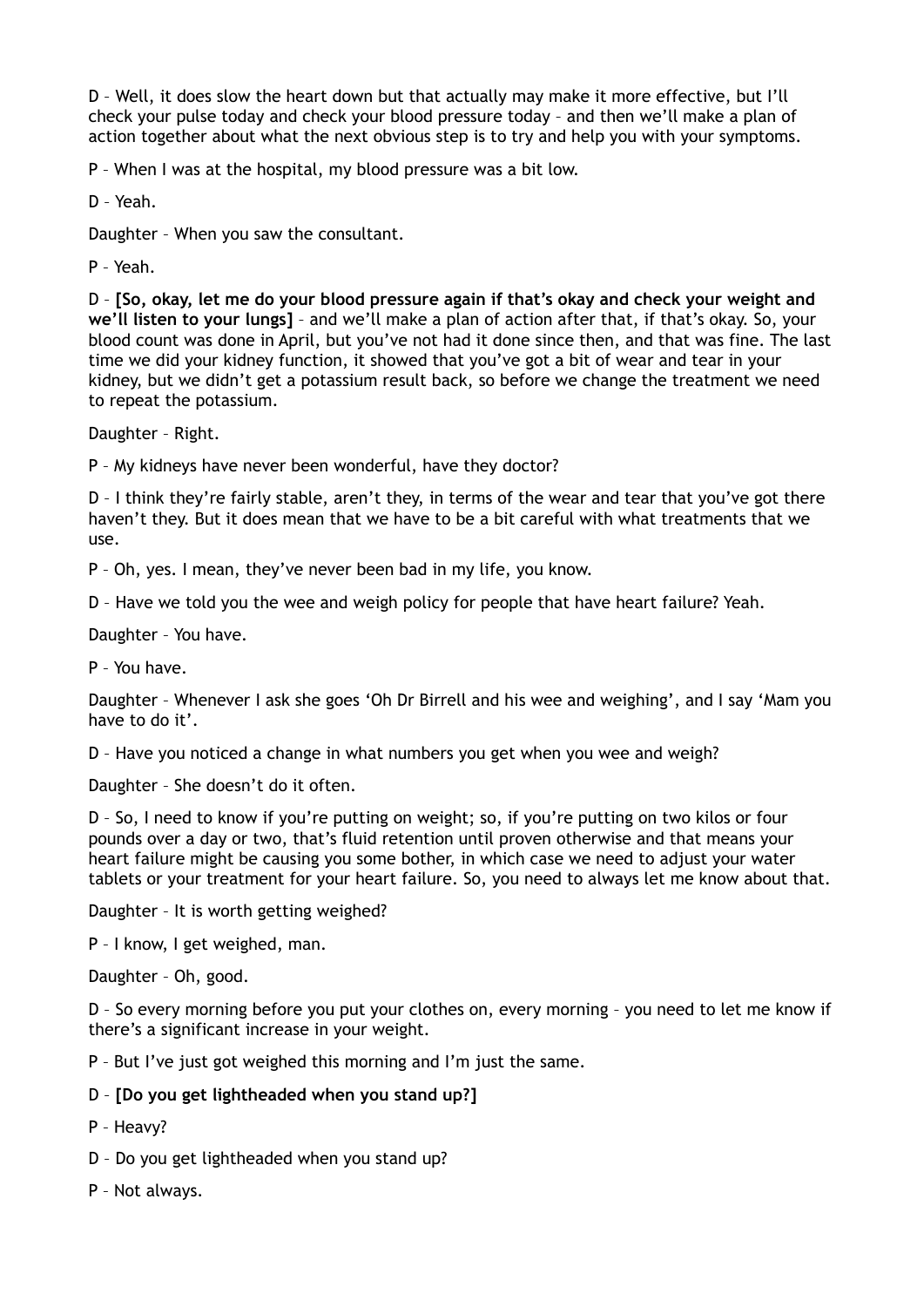D – Well, it does slow the heart down but that actually may make it more effective, but I'll check your pulse today and check your blood pressure today – and then we'll make a plan of action together about what the next obvious step is to try and help you with your symptoms.

P – When I was at the hospital, my blood pressure was a bit low.

D – Yeah.

Daughter – When you saw the consultant.

P – Yeah.

D – **[So, okay, let me do your blood pressure again if that's okay and check your weight and we'll listen to your lungs]** – and we'll make a plan of action after that, if that's okay. So, your blood count was done in April, but you've not had it done since then, and that was fine. The last time we did your kidney function, it showed that you've got a bit of wear and tear in your kidney, but we didn't get a potassium result back, so before we change the treatment we need to repeat the potassium.

Daughter – Right.

P – My kidneys have never been wonderful, have they doctor?

D – I think they're fairly stable, aren't they, in terms of the wear and tear that you've got there haven't they. But it does mean that we have to be a bit careful with what treatments that we use.

P – Oh, yes. I mean, they've never been bad in my life, you know.

D – Have we told you the wee and weigh policy for people that have heart failure? Yeah.

Daughter – You have.

P – You have.

Daughter – Whenever I ask she goes 'Oh Dr Birrell and his wee and weighing', and I say 'Mam you have to do it'.

D – Have you noticed a change in what numbers you get when you wee and weigh?

Daughter – She doesn't do it often.

D – So, I need to know if you're putting on weight; so, if you're putting on two kilos or four pounds over a day or two, that's fluid retention until proven otherwise and that means your heart failure might be causing you some bother, in which case we need to adjust your water tablets or your treatment for your heart failure. So, you need to always let me know about that.

Daughter – It is worth getting weighed?

P – I know, I get weighed, man.

Daughter – Oh, good.

D – So every morning before you put your clothes on, every morning – you need to let me know if there's a significant increase in your weight.

P – But I've just got weighed this morning and I'm just the same.

## D – **[Do you get lightheaded when you stand up?]**

- P Heavy?
- D Do you get lightheaded when you stand up?
- P Not always.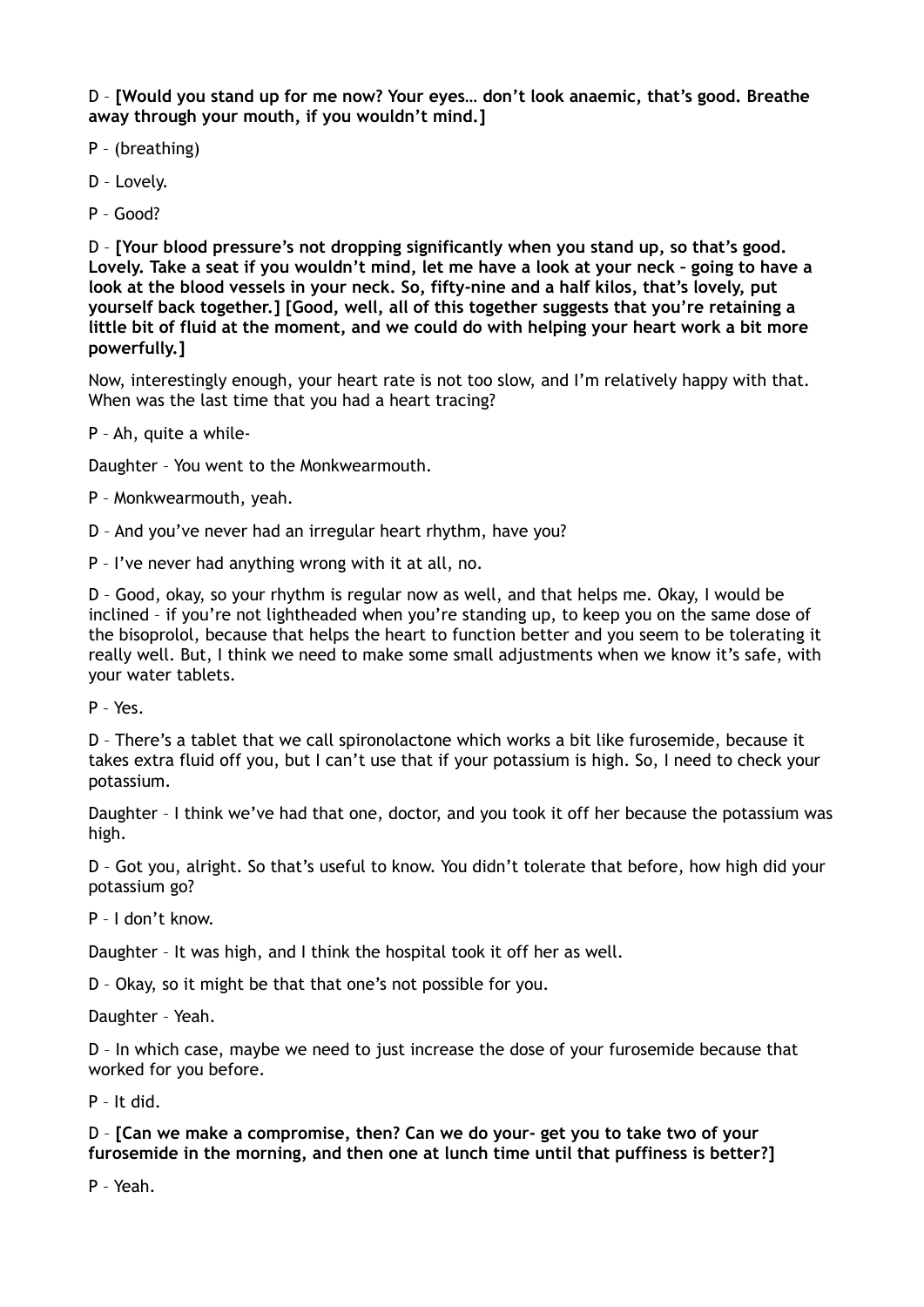D – **[Would you stand up for me now? Your eyes… don't look anaemic, that's good. Breathe away through your mouth, if you wouldn't mind.]** 

- P (breathing)
- D Lovely.
- P Good?

D – **[Your blood pressure's not dropping significantly when you stand up, so that's good. Lovely. Take a seat if you wouldn't mind, let me have a look at your neck – going to have a look at the blood vessels in your neck. So, fifty-nine and a half kilos, that's lovely, put yourself back together.] [Good, well, all of this together suggests that you're retaining a little bit of fluid at the moment, and we could do with helping your heart work a bit more powerfully.]** 

Now, interestingly enough, your heart rate is not too slow, and I'm relatively happy with that. When was the last time that you had a heart tracing?

P – Ah, quite a while-

Daughter – You went to the Monkwearmouth.

P – Monkwearmouth, yeah.

D – And you've never had an irregular heart rhythm, have you?

P – I've never had anything wrong with it at all, no.

D – Good, okay, so your rhythm is regular now as well, and that helps me. Okay, I would be inclined – if you're not lightheaded when you're standing up, to keep you on the same dose of the bisoprolol, because that helps the heart to function better and you seem to be tolerating it really well. But, I think we need to make some small adjustments when we know it's safe, with your water tablets.

P – Yes.

D – There's a tablet that we call spironolactone which works a bit like furosemide, because it takes extra fluid off you, but I can't use that if your potassium is high. So, I need to check your potassium.

Daughter – I think we've had that one, doctor, and you took it off her because the potassium was high.

D – Got you, alright. So that's useful to know. You didn't tolerate that before, how high did your potassium go?

P – I don't know.

Daughter – It was high, and I think the hospital took it off her as well.

D – Okay, so it might be that that one's not possible for you.

Daughter – Yeah.

D – In which case, maybe we need to just increase the dose of your furosemide because that worked for you before.

P – It did.

D – **[Can we make a compromise, then? Can we do your- get you to take two of your furosemide in the morning, and then one at lunch time until that puffiness is better?]** 

P – Yeah.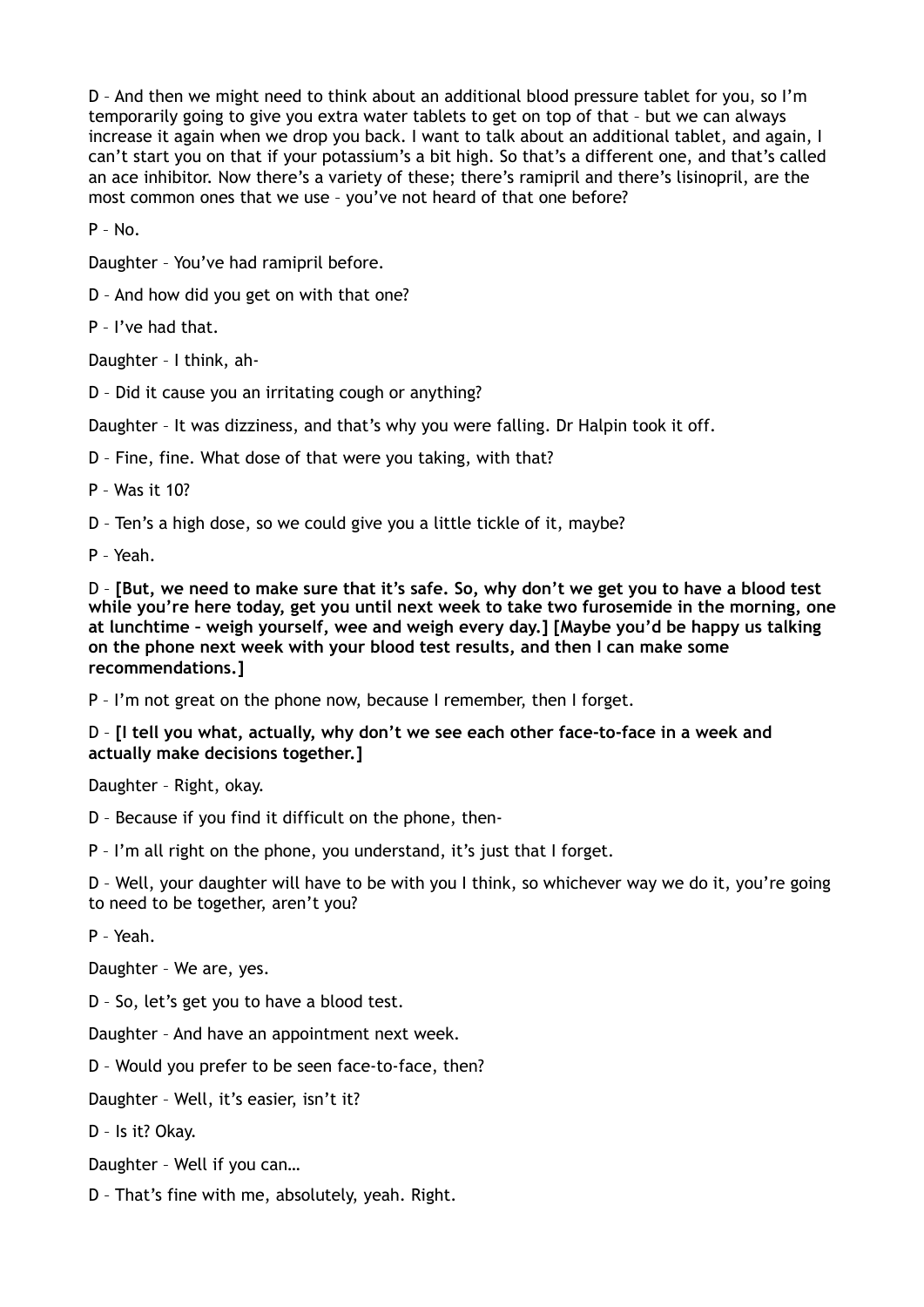D – And then we might need to think about an additional blood pressure tablet for you, so I'm temporarily going to give you extra water tablets to get on top of that – but we can always increase it again when we drop you back. I want to talk about an additional tablet, and again, I can't start you on that if your potassium's a bit high. So that's a different one, and that's called an ace inhibitor. Now there's a variety of these; there's ramipril and there's lisinopril, are the most common ones that we use – you've not heard of that one before?

P – No.

Daughter – You've had ramipril before.

D – And how did you get on with that one?

P – I've had that.

Daughter – I think, ah-

D – Did it cause you an irritating cough or anything?

Daughter – It was dizziness, and that's why you were falling. Dr Halpin took it off.

D – Fine, fine. What dose of that were you taking, with that?

P – Was it 10?

D – Ten's a high dose, so we could give you a little tickle of it, maybe?

P – Yeah.

D – **[But, we need to make sure that it's safe. So, why don't we get you to have a blood test while you're here today, get you until next week to take two furosemide in the morning, one at lunchtime – weigh yourself, wee and weigh every day.] [Maybe you'd be happy us talking on the phone next week with your blood test results, and then I can make some recommendations.]** 

P – I'm not great on the phone now, because I remember, then I forget.

D – **[I tell you what, actually, why don't we see each other face-to-face in a week and actually make decisions together.]** 

Daughter – Right, okay.

D – Because if you find it difficult on the phone, then-

P – I'm all right on the phone, you understand, it's just that I forget.

D – Well, your daughter will have to be with you I think, so whichever way we do it, you're going to need to be together, aren't you?

P – Yeah.

Daughter – We are, yes.

D – So, let's get you to have a blood test.

Daughter – And have an appointment next week.

D – Would you prefer to be seen face-to-face, then?

Daughter – Well, it's easier, isn't it?

D – Is it? Okay.

Daughter – Well if you can…

D – That's fine with me, absolutely, yeah. Right.